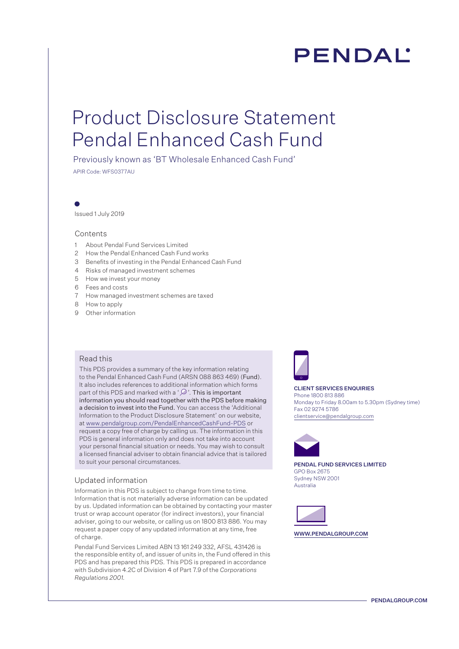# **PENDAL**

## Product Disclosure Statement Pendal Enhanced Cash Fund

Previously known as 'BT Wholesale Enhanced Cash Fund'

APIR Code: WFS0377AU

Issued 1 July 2019

### Contents

- 1 About Pendal Fund Services Limited
- 2 How the Pendal Enhanced Cash Fund works
- 3 Benefits of investing in the Pendal Enhanced Cash Fund
- 4 Risks of managed investment schemes
- 5 How we invest your money
- 6 Fees and costs
- 7 How managed investment schemes are taxed
- 8 How to apply
- 9 Other information

### Read this

This PDS provides a summary of the key information relating to the Pendal Enhanced Cash Fund (ARSN 088 863 469) (Fund). It also includes references to additional information which forms part of this PDS and marked with a ' $\mathcal{D}$ '. This is important information you should read together with the PDS before making a decision to invest into the Fund. You can access the 'Additional Information to the Product Disclosure Statement' on our website, at www.pendalgroup.com/PendalEnhancedCashFund-PDS or request a copy free of charge by calling us. The information in this PDS is general information only and does not take into account your personal financial situation or needs. You may wish to consult a licensed financial adviser to obtain financial advice that is tailored to suit your personal circumstances.

### Updated information

Information in this PDS is subject to change from time to time. Information that is not materially adverse information can be updated by us. Updated information can be obtained by contacting your master trust or wrap account operator (for indirect investors), your financial adviser, going to our website, or calling us on 1800 813 886. You may request a paper copy of any updated information at any time, free of charge.

Pendal Fund Services Limited ABN 13 161 249 332, AFSL 431426 is the responsible entity of, and issuer of units in, the Fund offered in this PDS and has prepared this PDS. This PDS is prepared in accordance with Subdivision 4.2C of Division 4 of Part 7.9 of the *Corporations Regulations 2001.* 



CLIENT SERVICES ENQUIRIES Phone 1800 813 886 Monday to Friday 8.00am to 5.30pm (Sydney time) Fax 02 9274 5786 clientservice@pendalgroup.com



PENDAL FUND SERVICES LIMITED GPO Box 2675 Sydney NSW 2001 Australia



WWW.PENDALGROUP.COM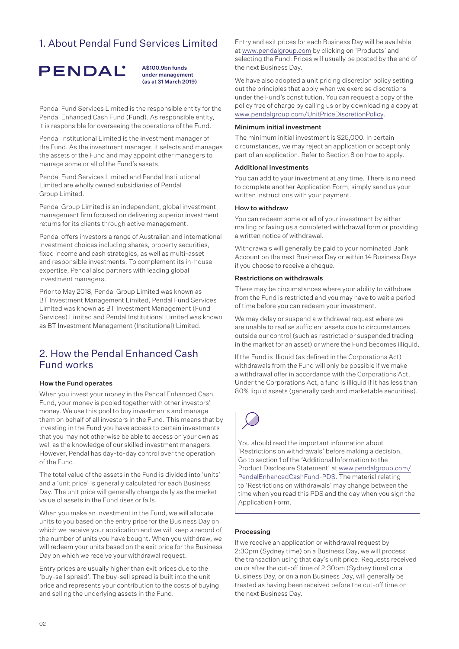### 1. About Pendal Fund Services Limited



A\$100.9bn funds under management (as at 31 March 2019)

Pendal Fund Services Limited is the responsible entity for the Pendal Enhanced Cash Fund (Fund). As responsible entity, it is responsible for overseeing the operations of the Fund.

Pendal Institutional Limited is the investment manager of the Fund. As the investment manager, it selects and manages the assets of the Fund and may appoint other managers to manage some or all of the Fund's assets.

Pendal Fund Services Limited and Pendal Institutional Limited are wholly owned subsidiaries of Pendal Group Limited.

Pendal Group Limited is an independent, global investment management firm focused on delivering superior investment returns for its clients through active management.

Pendal offers investors a range of Australian and international investment choices including shares, property securities, fixed income and cash strategies, as well as multi-asset and responsible investments. To complement its in-house expertise, Pendal also partners with leading global investment managers.

Prior to May 2018, Pendal Group Limited was known as BT Investment Management Limited, Pendal Fund Services Limited was known as BT Investment Management (Fund Services) Limited and Pendal Institutional Limited was known as BT Investment Management (Institutional) Limited.

### 2. How the Pendal Enhanced Cash Fund works

### How the Fund operates

When you invest your money in the Pendal Enhanced Cash Fund, your money is pooled together with other investors' money. We use this pool to buy investments and manage them on behalf of all investors in the Fund. This means that by investing in the Fund you have access to certain investments that you may not otherwise be able to access on your own as well as the knowledge of our skilled investment managers. However, Pendal has day-to-day control over the operation of the Fund.

The total value of the assets in the Fund is divided into 'units' and a 'unit price' is generally calculated for each Business Day. The unit price will generally change daily as the market value of assets in the Fund rises or falls.

When you make an investment in the Fund, we will allocate units to you based on the entry price for the Business Day on which we receive your application and we will keep a record of the number of units you have bought. When you withdraw, we will redeem your units based on the exit price for the Business Day on which we receive your withdrawal request.

Entry prices are usually higher than exit prices due to the 'buy-sell spread'. The buy-sell spread is built into the unit price and represents your contribution to the costs of buying and selling the underlying assets in the Fund.

Entry and exit prices for each Business Day will be available at www.pendalgroup.com by clicking on 'Products' and selecting the Fund. Prices will usually be posted by the end of the next Business Day.

We have also adopted a unit pricing discretion policy setting out the principles that apply when we exercise discretions under the Fund's constitution. You can request a copy of the policy free of charge by calling us or by downloading a copy at www.pendalgroup.com/UnitPriceDiscretionPolicy.

#### Minimum initial investment

The minimum initial investment is \$25,000. In certain circumstances, we may reject an application or accept only part of an application. Refer to Section 8 on how to apply.

### Additional investments

You can add to your investment at any time. There is no need to complete another Application Form, simply send us your written instructions with your payment.

#### How to withdraw

You can redeem some or all of your investment by either mailing or faxing us a completed withdrawal form or providing a written notice of withdrawal.

Withdrawals will generally be paid to your nominated Bank Account on the next Business Day or within 14 Business Days if you choose to receive a cheque.

#### Restrictions on withdrawals

There may be circumstances where your ability to withdraw from the Fund is restricted and you may have to wait a period of time before you can redeem your investment.

We may delay or suspend a withdrawal request where we are unable to realise sufficient assets due to circumstances outside our control (such as restricted or suspended trading in the market for an asset) or where the Fund becomes illiquid.

If the Fund is illiquid (as defined in the Corporations Act) withdrawals from the Fund will only be possible if we make a withdrawal offer in accordance with the Corporations Act. Under the Corporations Act, a fund is illiquid if it has less than 80% liquid assets (generally cash and marketable securities).



You should read the important information about 'Restrictions on withdrawals' before making a decision. Go to section 1 of the 'Additional Information to the Product Disclosure Statement' at [www.pendalgroup.com/](www.pendalgroup.com/PendalEnhancedCashFund-PDS) [PendalEnhancedCashFund-PDS](www.pendalgroup.com/PendalEnhancedCashFund-PDS). The material relating to 'Restrictions on withdrawals' may change between the time when you read this PDS and the day when you sign the Application Form.

### Processing

If we receive an application or withdrawal request by 2:30pm (Sydney time) on a Business Day, we will process the transaction using that day's unit price. Requests received on or after the cut-off time of 2:30pm (Sydney time) on a Business Day, or on a non Business Day, will generally be treated as having been received before the cut-off time on the next Business Day.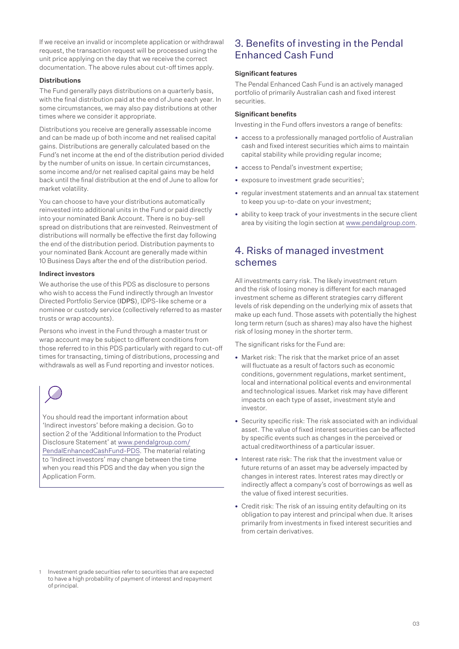If we receive an invalid or incomplete application or withdrawal request, the transaction request will be processed using the unit price applying on the day that we receive the correct documentation. The above rules about cut-off times apply.

### Distributions

The Fund generally pays distributions on a quarterly basis, with the final distribution paid at the end of June each year. In some circumstances, we may also pay distributions at other times where we consider it appropriate.

Distributions you receive are generally assessable income and can be made up of both income and net realised capital gains. Distributions are generally calculated based on the Fund's net income at the end of the distribution period divided by the number of units on issue. In certain circumstances, some income and/or net realised capital gains may be held back until the final distribution at the end of June to allow for market volatility.

You can choose to have your distributions automatically reinvested into additional units in the Fund or paid directly into your nominated Bank Account. There is no buy-sell spread on distributions that are reinvested. Reinvestment of distributions will normally be effective the first day following the end of the distribution period. Distribution payments to your nominated Bank Account are generally made within 10 Business Days after the end of the distribution period.

### Indirect investors

We authorise the use of this PDS as disclosure to persons who wish to access the Fund indirectly through an Investor Directed Portfolio Service (IDPS), IDPS-like scheme or a nominee or custody service (collectively referred to as master trusts or wrap accounts).

Persons who invest in the Fund through a master trust or wrap account may be subject to different conditions from those referred to in this PDS particularly with regard to cut-off times for transacting, timing of distributions, processing and withdrawals as well as Fund reporting and investor notices.



You should read the important information about 'Indirect investors' before making a decision. Go to section 2 of the 'Additional Information to the Product Disclosure Statement' at [www.pendalgroup.com/](www.pendalgroup.com/PendalEnhancedCashFund-PDS) [PendalEnhancedCashFund-PDS](www.pendalgroup.com/PendalEnhancedCashFund-PDS). The material relating to 'Indirect investors' may change between the time when you read this PDS and the day when you sign the Application Form.

### 3. Benefits of investing in the Pendal Enhanced Cash Fund

### Significant features

The Pendal Enhanced Cash Fund is an actively managed portfolio of primarily Australian cash and fixed interest securities.

### Significant benefits

Investing in the Fund offers investors a range of benefits:

- access to a professionally managed portfolio of Australian cash and fixed interest securities which aims to maintain capital stability while providing regular income;
- access to Pendal's investment expertise;
- exposure to investment grade securities<sup>1</sup>;
- regular investment statements and an annual tax statement to keep you up-to-date on your investment;
- ability to keep track of your investments in the secure client area by visiting the login section at www.pendalgroup.com.

### 4. Risks of managed investment schemes

All investments carry risk. The likely investment return and the risk of losing money is different for each managed investment scheme as different strategies carry different levels of risk depending on the underlying mix of assets that make up each fund. Those assets with potentially the highest long term return (such as shares) may also have the highest risk of losing money in the shorter term.

The significant risks for the Fund are:

- Market risk: The risk that the market price of an asset will fluctuate as a result of factors such as economic conditions, government regulations, market sentiment, local and international political events and environmental and technological issues. Market risk may have different impacts on each type of asset, investment style and investor.
- Security specific risk: The risk associated with an individual asset. The value of fixed interest securities can be affected by specific events such as changes in the perceived or actual creditworthiness of a particular issuer.
- Interest rate risk: The risk that the investment value or future returns of an asset may be adversely impacted by changes in interest rates. Interest rates may directly or indirectly affect a company's cost of borrowings as well as the value of fixed interest securities.
- Credit risk: The risk of an issuing entity defaulting on its obligation to pay interest and principal when due. It arises primarily from investments in fixed interest securities and from certain derivatives.

<sup>1</sup> Investment grade securities refer to securities that are expected to have a high probability of payment of interest and repayment of principal.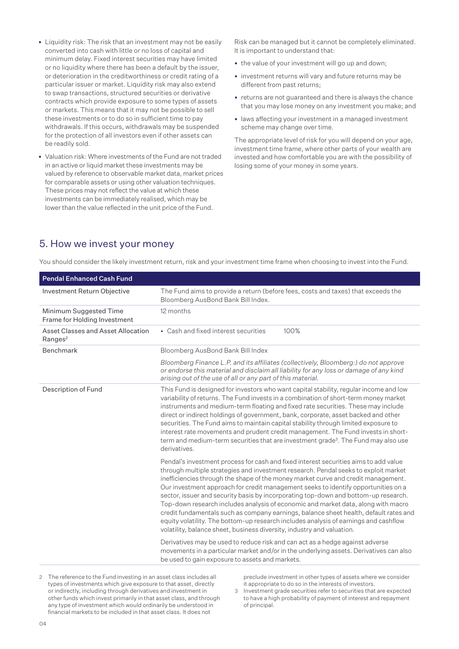- Liquidity risk: The risk that an investment may not be easily converted into cash with little or no loss of capital and minimum delay. Fixed interest securities may have limited or no liquidity where there has been a default by the issuer, or deterioration in the creditworthiness or credit rating of a particular issuer or market. Liquidity risk may also extend to swap transactions, structured securities or derivative contracts which provide exposure to some types of assets or markets. This means that it may not be possible to sell these investments or to do so in sufficient time to pay withdrawals. If this occurs, withdrawals may be suspended for the protection of all investors even if other assets can be readily sold.
- Valuation risk: Where investments of the Fund are not traded in an active or liquid market these investments may be valued by reference to observable market data, market prices for comparable assets or using other valuation techniques. These prices may not reflect the value at which these investments can be immediately realised, which may be lower than the value reflected in the unit price of the Fund.

Risk can be managed but it cannot be completely eliminated. It is important to understand that:

- the value of your investment will go up and down;
- investment returns will vary and future returns may be different from past returns;
- returns are not guaranteed and there is always the chance that you may lose money on any investment you make; and
- laws affecting your investment in a managed investment scheme may change over time.

The appropriate level of risk for you will depend on your age, investment time frame, where other parts of your wealth are invested and how comfortable you are with the possibility of losing some of your money in some years.

### 5. How we invest your money

| <b>Pendal Enhanced Cash Fund</b>                          |                                                                                                                                                                                                                                                                                                                                                                                                                                                                                                                                                                                                                                                                                                                                                                                               |  |
|-----------------------------------------------------------|-----------------------------------------------------------------------------------------------------------------------------------------------------------------------------------------------------------------------------------------------------------------------------------------------------------------------------------------------------------------------------------------------------------------------------------------------------------------------------------------------------------------------------------------------------------------------------------------------------------------------------------------------------------------------------------------------------------------------------------------------------------------------------------------------|--|
| Investment Return Objective                               | The Fund aims to provide a return (before fees, costs and taxes) that exceeds the<br>Bloomberg AusBond Bank Bill Index.                                                                                                                                                                                                                                                                                                                                                                                                                                                                                                                                                                                                                                                                       |  |
| Minimum Suggested Time<br>Frame for Holding Investment    | 12 months                                                                                                                                                                                                                                                                                                                                                                                                                                                                                                                                                                                                                                                                                                                                                                                     |  |
| Asset Classes and Asset Allocation<br>Ranges <sup>2</sup> | • Cash and fixed interest securities<br>100%                                                                                                                                                                                                                                                                                                                                                                                                                                                                                                                                                                                                                                                                                                                                                  |  |
| <b>Benchmark</b>                                          | Bloomberg AusBond Bank Bill Index                                                                                                                                                                                                                                                                                                                                                                                                                                                                                                                                                                                                                                                                                                                                                             |  |
|                                                           | Bloomberg Finance L.P. and its affiliates (collectively, Bloomberg:) do not approve<br>or endorse this material and disclaim all liability for any loss or damage of any kind<br>arising out of the use of all or any part of this material.                                                                                                                                                                                                                                                                                                                                                                                                                                                                                                                                                  |  |
| Description of Fund                                       | This Fund is designed for investors who want capital stability, regular income and low<br>variability of returns. The Fund invests in a combination of short-term money market<br>instruments and medium-term floating and fixed rate securities. These may include<br>direct or indirect holdings of government, bank, corporate, asset backed and other<br>securities. The Fund aims to maintain capital stability through limited exposure to<br>interest rate movements and prudent credit management. The Fund invests in short-<br>term and medium-term securities that are investment grade <sup>3</sup> . The Fund may also use<br>derivatives.                                                                                                                                       |  |
|                                                           | Pendal's investment process for cash and fixed interest securities aims to add value<br>through multiple strategies and investment research. Pendal seeks to exploit market<br>inefficiencies through the shape of the money market curve and credit management.<br>Our investment approach for credit management seeks to identify opportunities on a<br>sector, issuer and security basis by incorporating top-down and bottom-up research.<br>Top-down research includes analysis of economic and market data, along with macro<br>credit fundamentals such as company earnings, balance sheet health, default rates and<br>equity volatility. The bottom-up research includes analysis of earnings and cashflow<br>volatility, balance sheet, business diversity, industry and valuation. |  |
|                                                           | Derivatives may be used to reduce risk and can act as a hedge against adverse<br>movements in a particular market and/or in the underlying assets. Derivatives can also<br>be used to gain exposure to assets and markets.                                                                                                                                                                                                                                                                                                                                                                                                                                                                                                                                                                    |  |
|                                                           |                                                                                                                                                                                                                                                                                                                                                                                                                                                                                                                                                                                                                                                                                                                                                                                               |  |

You should consider the likely investment return, risk and your investment time frame when choosing to invest into the Fund.

2 The reference to the Fund investing in an asset class includes all types of investments which give exposure to that asset, directly or indirectly, including through derivatives and investment in other funds which invest primarily in that asset class, and through any type of investment which would ordinarily be understood in financial markets to be included in that asset class. It does not

preclude investment in other types of assets where we consider it appropriate to do so in the interests of investors.

3 Investment grade securities refer to securities that are expected to have a high probability of payment of interest and repayment of principal.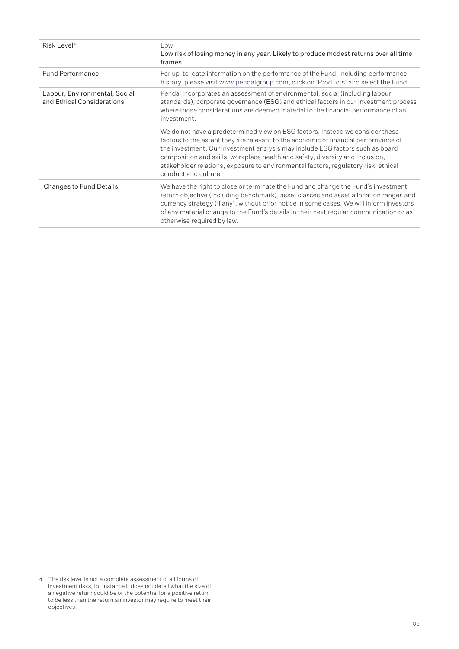| Risk Level <sup>4</sup>                                     | Low<br>Low risk of losing money in any year. Likely to produce modest returns over all time<br>frames.                                                                                                                                                                                                                                                                                                                                               |
|-------------------------------------------------------------|------------------------------------------------------------------------------------------------------------------------------------------------------------------------------------------------------------------------------------------------------------------------------------------------------------------------------------------------------------------------------------------------------------------------------------------------------|
| <b>Fund Performance</b>                                     | For up-to-date information on the performance of the Fund, including performance<br>history, please visit www.pendalgroup.com, click on 'Products' and select the Fund.                                                                                                                                                                                                                                                                              |
| Labour, Environmental, Social<br>and Ethical Considerations | Pendal incorporates an assessment of environmental, social (including labour<br>standards), corporate governance (ESG) and ethical factors in our investment process<br>where those considerations are deemed material to the financial performance of an<br>investment.                                                                                                                                                                             |
|                                                             | We do not have a predetermined view on ESG factors. Instead we consider these<br>factors to the extent they are relevant to the economic or financial performance of<br>the investment. Our investment analysis may include ESG factors such as board<br>composition and skills, workplace health and safety, diversity and inclusion,<br>stakeholder relations, exposure to environmental factors, regulatory risk, ethical<br>conduct and culture. |
| <b>Changes to Fund Details</b>                              | We have the right to close or terminate the Fund and change the Fund's investment<br>return objective (including benchmark), asset classes and asset allocation ranges and<br>currency strategy (if any), without prior notice in some cases. We will inform investors<br>of any material change to the Fund's details in their next regular communication or as<br>otherwise required by law.                                                       |

<sup>4</sup> The risk level is not a complete assessment of all forms of investment risks, for instance it does not detail what the size of a negative return could be or the potential for a positive return to be less than the return an investor may require to meet their objectives.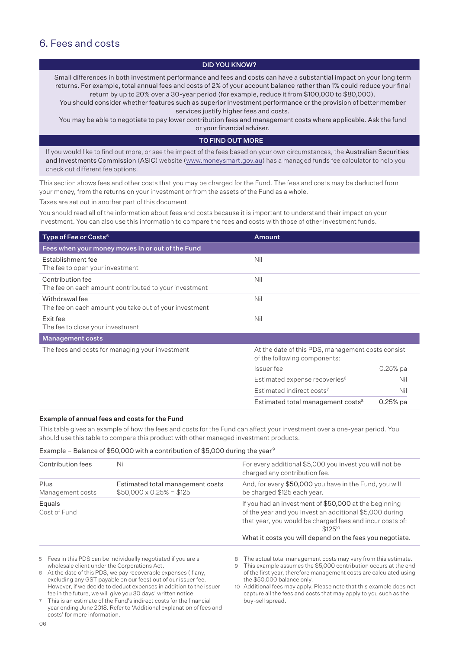### 6. Fees and costs

### DID YOU KNOW?

Small differences in both investment performance and fees and costs can have a substantial impact on your long term returns. For example, total annual fees and costs of 2% of your account balance rather than 1% could reduce your final return by up to 20% over a 30-year period (for example, reduce it from \$100,000 to \$80,000).

You should consider whether features such as superior investment performance or the provision of better member services justify higher fees and costs.

You may be able to negotiate to pay lower contribution fees and management costs where applicable. Ask the fund or your financial adviser.

### TO FIND OUT MORE

If you would like to find out more, or see the impact of the fees based on your own circumstances, the Australian Securities and Investments Commission (ASIC) website (www.moneysmart.gov.au) has a managed funds fee calculator to help you check out different fee options.

This section shows fees and other costs that you may be charged for the Fund. The fees and costs may be deducted from your money, from the returns on your investment or from the assets of the Fund as a whole.

Taxes are set out in another part of this document.

You should read all of the information about fees and costs because it is important to understand their impact on your investment. You can also use this information to compare the fees and costs with those of other investment funds.

| Type of Fee or Costs <sup>5</sup>                                         | <b>Amount</b>                                                                     |            |
|---------------------------------------------------------------------------|-----------------------------------------------------------------------------------|------------|
| Fees when your money moves in or out of the Fund                          |                                                                                   |            |
| Establishment fee<br>The fee to open your investment                      | Nil                                                                               |            |
| Contribution fee<br>The fee on each amount contributed to your investment | Nil                                                                               |            |
| Withdrawal fee<br>The fee on each amount you take out of your investment  | Nil                                                                               |            |
| Exit fee<br>The fee to close your investment                              | Nil                                                                               |            |
| <b>Management costs</b>                                                   |                                                                                   |            |
| The fees and costs for managing your investment                           | At the date of this PDS, management costs consist<br>of the following components: |            |
|                                                                           | Issuer fee                                                                        | $0.25%$ pa |
|                                                                           | Estimated expense recoveries <sup>6</sup>                                         | Nil        |
|                                                                           | Estimated indirect costs <sup>7</sup>                                             | Nil        |
|                                                                           | Estimated total management costs <sup>8</sup>                                     | $0.25%$ pa |

### Example of annual fees and costs for the Fund

This table gives an example of how the fees and costs for the Fund can affect your investment over a one-year period. You should use this table to compare this product with other managed investment products.

### Example – Balance of \$50,000 with a contribution of \$5,000 during the year<sup>9</sup>

| Contribution fees        | Nil                                                                | For every additional \$5,000 you invest you will not be<br>charged any contribution fee.                                                                                                                                                                |
|--------------------------|--------------------------------------------------------------------|---------------------------------------------------------------------------------------------------------------------------------------------------------------------------------------------------------------------------------------------------------|
| Plus<br>Management costs | Estimated total management costs<br>$$50,000 \times 0.25\% = $125$ | And, for every \$50,000 you have in the Fund, you will<br>be charged \$125 each year.                                                                                                                                                                   |
| Equals<br>Cost of Fund   |                                                                    | If you had an investment of \$50,000 at the beginning<br>of the year and you invest an additional \$5,000 during<br>that year, you would be charged fees and incur costs of:<br>$$125^{10}$<br>What it costs you will depend on the fees you negotiate. |
|                          |                                                                    |                                                                                                                                                                                                                                                         |

5 Fees in this PDS can be individually negotiated if you are a wholesale client under the Corporations Act.

6 At the date of this PDS, we pay recoverable expenses (if any, excluding any GST payable on our fees) out of our issuer fee. However, if we decide to deduct expenses in addition to the issuer fee in the future, we will give you 30 days' written notice.

7 This is an estimate of the Fund's indirect costs for the financial year ending June 2018. Refer to 'Additional explanation of fees and costs' for more information.

8 The actual total management costs may vary from this estimate.

This example assumes the \$5,000 contribution occurs at the end of the first year, therefore management costs are calculated using the \$50,000 balance only.

10 Additional fees may apply. Please note that this example does not capture all the fees and costs that may apply to you such as the buy-sell spread.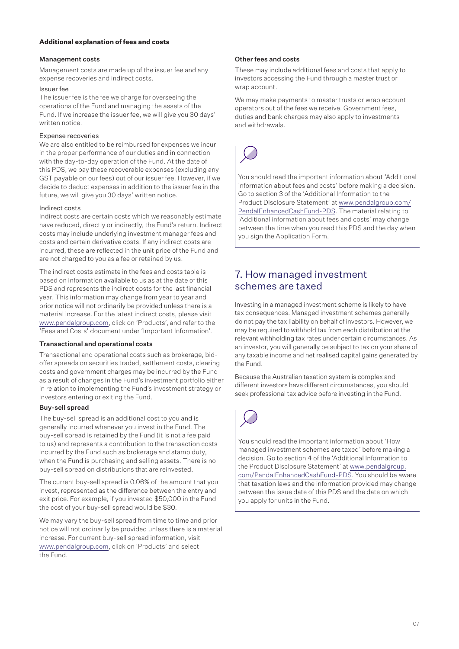### **Additional explanation of fees and costs**

### Management costs

Management costs are made up of the issuer fee and any expense recoveries and indirect costs.

### Issuer fee

The issuer fee is the fee we charge for overseeing the operations of the Fund and managing the assets of the Fund. If we increase the issuer fee, we will give you 30 days' written notice.

### Expense recoveries

We are also entitled to be reimbursed for expenses we incur in the proper performance of our duties and in connection with the day-to-day operation of the Fund. At the date of this PDS, we pay these recoverable expenses (excluding any GST payable on our fees) out of our issuer fee. However, if we decide to deduct expenses in addition to the issuer fee in the future, we will give you 30 days' written notice.

### Indirect costs

Indirect costs are certain costs which we reasonably estimate have reduced, directly or indirectly, the Fund's return. Indirect costs may include underlying investment manager fees and costs and certain derivative costs. If any indirect costs are incurred, these are reflected in the unit price of the Fund and are not charged to you as a fee or retained by us.

The indirect costs estimate in the fees and costs table is based on information available to us as at the date of this PDS and represents the indirect costs for the last financial year. This information may change from year to year and prior notice will not ordinarily be provided unless there is a material increase. For the latest indirect costs, please visit www.pendalgroup.com, click on 'Products', and refer to the 'Fees and Costs' document under 'Important Information'.

### Transactional and operational costs

Transactional and operational costs such as brokerage, bidoffer spreads on securities traded, settlement costs, clearing costs and government charges may be incurred by the Fund as a result of changes in the Fund's investment portfolio either in relation to implementing the Fund's investment strategy or investors entering or exiting the Fund.

### Buy-sell spread

The buy-sell spread is an additional cost to you and is generally incurred whenever you invest in the Fund. The buy-sell spread is retained by the Fund (it is not a fee paid to us) and represents a contribution to the transaction costs incurred by the Fund such as brokerage and stamp duty, when the Fund is purchasing and selling assets. There is no buy-sell spread on distributions that are reinvested.

The current buy-sell spread is 0.06% of the amount that you invest, represented as the difference between the entry and exit price. For example, if you invested \$50,000 in the Fund the cost of your buy-sell spread would be \$30.

We may vary the buy-sell spread from time to time and prior notice will not ordinarily be provided unless there is a material increase. For current buy-sell spread information, visit www.pendalgroup.com, click on 'Products' and select the Fund.

### Other fees and costs

These may include additional fees and costs that apply to investors accessing the Fund through a master trust or wrap account.

We may make payments to master trusts or wrap account operators out of the fees we receive. Government fees, duties and bank charges may also apply to investments and withdrawals.



You should read the important information about 'Additional information about fees and costs' before making a decision. Go to section 3 of the 'Additional Information to the Product Disclosure Statement' at [www.pendalgroup.com/](www.pendalgroup.com/PendalEnhancedCashFund-PDS) [PendalEnhancedCashFund-PDS](www.pendalgroup.com/PendalEnhancedCashFund-PDS). The material relating to 'Additional information about fees and costs' may change between the time when you read this PDS and the day when you sign the Application Form.

### 7. How managed investment schemes are taxed

Investing in a managed investment scheme is likely to have tax consequences. Managed investment schemes generally do not pay the tax liability on behalf of investors. However, we may be required to withhold tax from each distribution at the relevant withholding tax rates under certain circumstances. As an investor, you will generally be subject to tax on your share of any taxable income and net realised capital gains generated by the Fund.

Because the Australian taxation system is complex and different investors have different circumstances, you should seek professional tax advice before investing in the Fund.



You should read the important information about 'How managed investment schemes are taxed' before making a decision. Go to section 4 of the 'Additional Information to the Product Disclosure Statement' at [www.pendalgroup.](www.pendalgroup.com/PendalEnhancedCashFund-PDS) [com/PendalEnhancedCashFund-PDS](www.pendalgroup.com/PendalEnhancedCashFund-PDS). You should be aware that taxation laws and the information provided may change between the issue date of this PDS and the date on which you apply for units in the Fund.